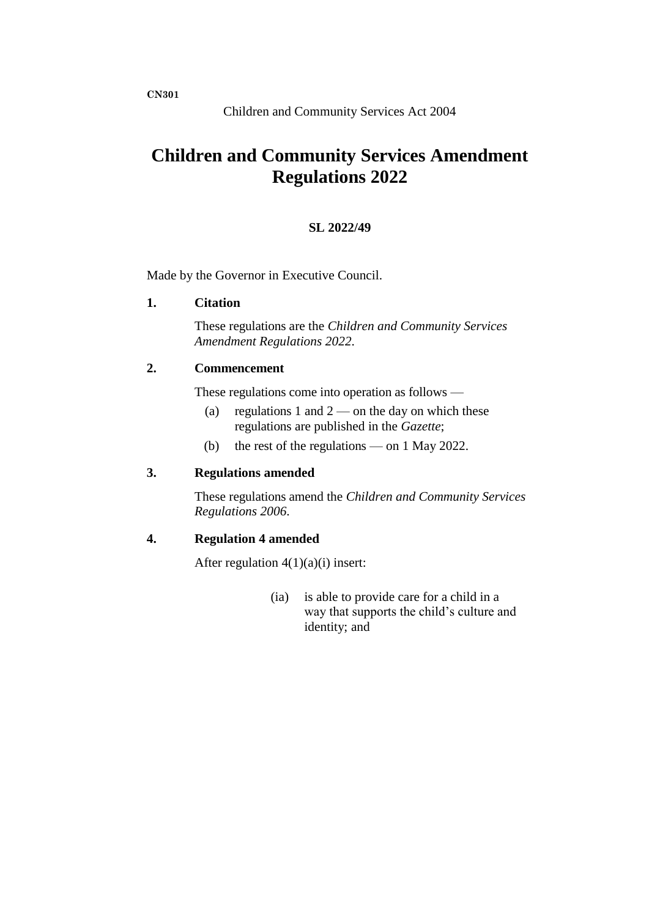# **Children and Community Services Amendment Regulations 2022**

### **SL 2022/49**

Made by the Governor in Executive Council.

#### **1. Citation**

These regulations are the *Children and Community Services Amendment Regulations 2022*.

# **2. Commencement**

These regulations come into operation as follows —

- (a) regulations 1 and  $2$  on the day on which these regulations are published in the *Gazette*;
- (b) the rest of the regulations on 1 May 2022.

### **3. Regulations amended**

These regulations amend the *Children and Community Services Regulations 2006*.

#### **4. Regulation 4 amended**

After regulation  $4(1)(a)(i)$  insert:

(ia) is able to provide care for a child in a way that supports the child's culture and identity; and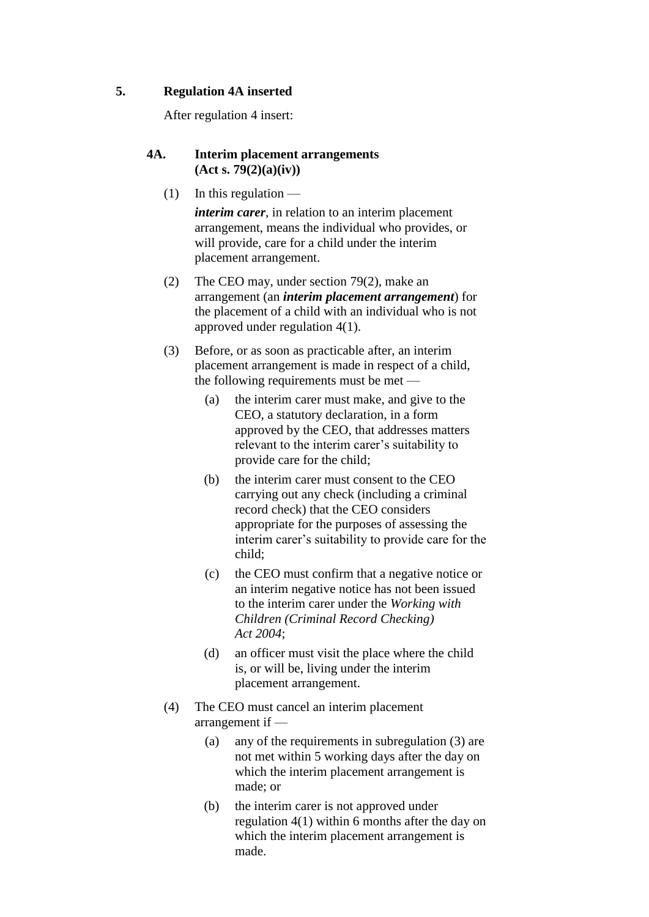# **5. Regulation 4A inserted**

After regulation 4 insert:

# **4A. Interim placement arrangements (Act s. 79(2)(a)(iv))**

 $(1)$  In this regulation —

*interim carer*, in relation to an interim placement arrangement, means the individual who provides, or will provide, care for a child under the interim placement arrangement.

- (2) The CEO may, under section 79(2), make an arrangement (an *interim placement arrangement*) for the placement of a child with an individual who is not approved under regulation 4(1).
- (3) Before, or as soon as practicable after, an interim placement arrangement is made in respect of a child, the following requirements must be met —
	- (a) the interim carer must make, and give to the CEO, a statutory declaration, in a form approved by the CEO, that addresses matters relevant to the interim carer's suitability to provide care for the child;
	- (b) the interim carer must consent to the CEO carrying out any check (including a criminal record check) that the CEO considers appropriate for the purposes of assessing the interim carer's suitability to provide care for the child;
	- (c) the CEO must confirm that a negative notice or an interim negative notice has not been issued to the interim carer under the *Working with Children (Criminal Record Checking) Act 2004*;
	- (d) an officer must visit the place where the child is, or will be, living under the interim placement arrangement.
- (4) The CEO must cancel an interim placement arrangement if —
	- (a) any of the requirements in subregulation (3) are not met within 5 working days after the day on which the interim placement arrangement is made; or
	- (b) the interim carer is not approved under regulation 4(1) within 6 months after the day on which the interim placement arrangement is made.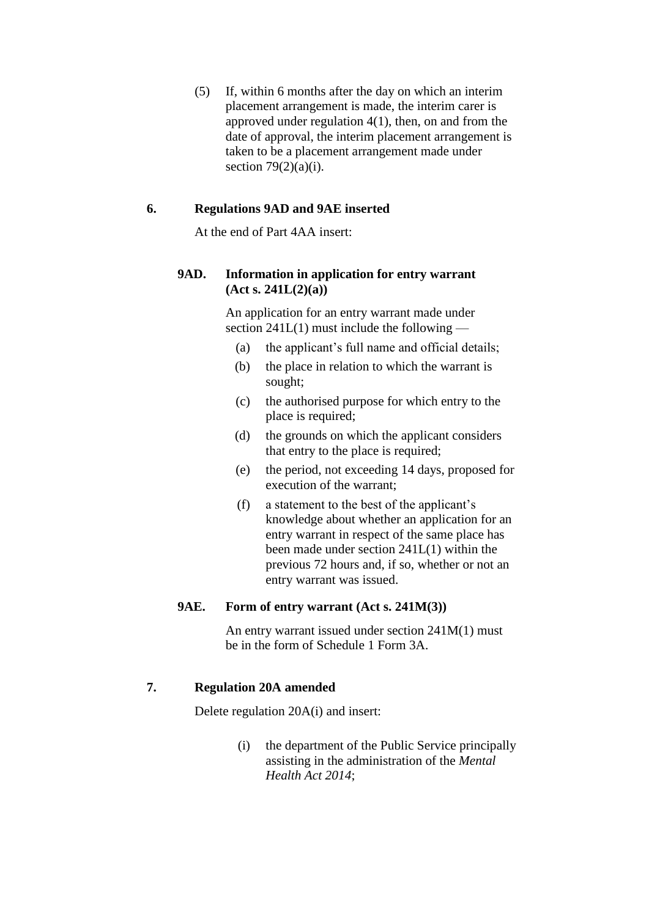(5) If, within 6 months after the day on which an interim placement arrangement is made, the interim carer is approved under regulation 4(1), then, on and from the date of approval, the interim placement arrangement is taken to be a placement arrangement made under section  $79(2)(a)(i)$ .

# **6. Regulations 9AD and 9AE inserted**

At the end of Part 4AA insert:

# **9AD. Information in application for entry warrant (Act s. 241L(2)(a))**

An application for an entry warrant made under section  $241L(1)$  must include the following —

- (a) the applicant's full name and official details;
- (b) the place in relation to which the warrant is sought;
- (c) the authorised purpose for which entry to the place is required;
- (d) the grounds on which the applicant considers that entry to the place is required;
- (e) the period, not exceeding 14 days, proposed for execution of the warrant;
- (f) a statement to the best of the applicant's knowledge about whether an application for an entry warrant in respect of the same place has been made under section 241L(1) within the previous 72 hours and, if so, whether or not an entry warrant was issued.

# **9AE. Form of entry warrant (Act s. 241M(3))**

An entry warrant issued under section 241M(1) must be in the form of Schedule 1 Form 3A.

#### **7. Regulation 20A amended**

Delete regulation 20A(i) and insert:

(i) the department of the Public Service principally assisting in the administration of the *Mental Health Act 2014*;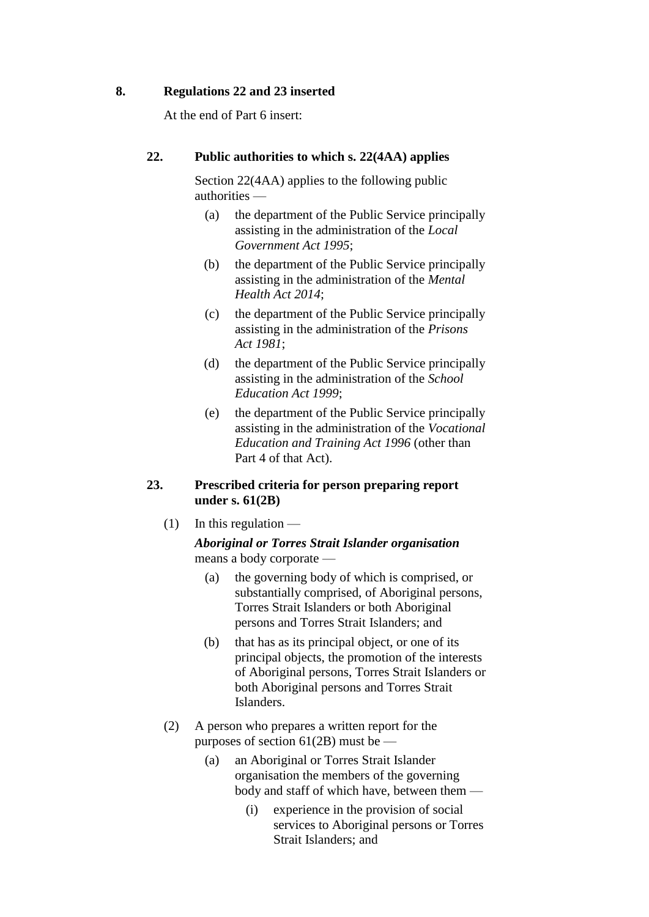### **8. Regulations 22 and 23 inserted**

At the end of Part 6 insert:

# **22. Public authorities to which s. 22(4AA) applies**

Section 22(4AA) applies to the following public authorities —

- (a) the department of the Public Service principally assisting in the administration of the *Local Government Act 1995*;
- (b) the department of the Public Service principally assisting in the administration of the *Mental Health Act 2014*;
- (c) the department of the Public Service principally assisting in the administration of the *Prisons Act 1981*;
- (d) the department of the Public Service principally assisting in the administration of the *School Education Act 1999*;
- (e) the department of the Public Service principally assisting in the administration of the *Vocational Education and Training Act 1996* (other than Part 4 of that Act).

# **23. Prescribed criteria for person preparing report under s. 61(2B)**

 $(1)$  In this regulation —

*Aboriginal or Torres Strait Islander organisation* means a body corporate —

- (a) the governing body of which is comprised, or substantially comprised, of Aboriginal persons, Torres Strait Islanders or both Aboriginal persons and Torres Strait Islanders; and
- (b) that has as its principal object, or one of its principal objects, the promotion of the interests of Aboriginal persons, Torres Strait Islanders or both Aboriginal persons and Torres Strait Islanders.
- (2) A person who prepares a written report for the purposes of section  $61(2B)$  must be —
	- (a) an Aboriginal or Torres Strait Islander organisation the members of the governing body and staff of which have, between them —
		- (i) experience in the provision of social services to Aboriginal persons or Torres Strait Islanders; and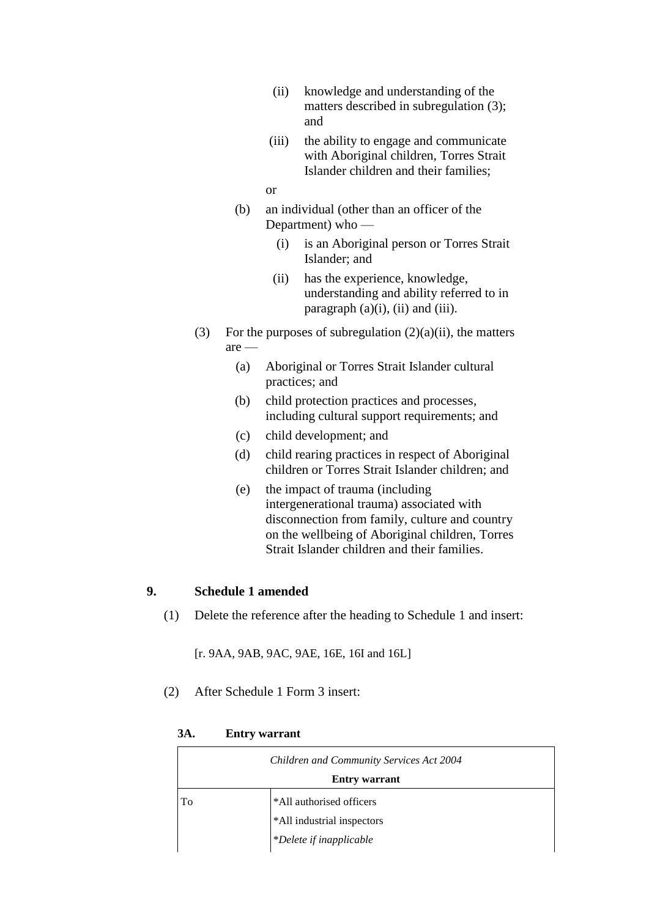- (ii) knowledge and understanding of the matters described in subregulation (3); and
- (iii) the ability to engage and communicate with Aboriginal children, Torres Strait Islander children and their families;

#### or

- (b) an individual (other than an officer of the Department) who —
	- (i) is an Aboriginal person or Torres Strait Islander; and
	- (ii) has the experience, knowledge, understanding and ability referred to in paragraph  $(a)(i)$ ,  $(ii)$  and  $(iii)$ .
- (3) For the purposes of subregulation  $(2)(a)(ii)$ , the matters are —
	- (a) Aboriginal or Torres Strait Islander cultural practices; and
	- (b) child protection practices and processes, including cultural support requirements; and
	- (c) child development; and
	- (d) child rearing practices in respect of Aboriginal children or Torres Strait Islander children; and
	- (e) the impact of trauma (including intergenerational trauma) associated with disconnection from family, culture and country on the wellbeing of Aboriginal children, Torres Strait Islander children and their families.

# **9. Schedule 1 amended**

(1) Delete the reference after the heading to Schedule 1 and insert:

[r. 9AA, 9AB, 9AC, 9AE, 16E, 16I and 16L]

(2) After Schedule 1 Form 3 insert:

*Children and Community Services Act 2004* **Entry warrant** To **\*All** authorised officers \*All industrial inspectors \**Delete if inapplicable*

**3A. Entry warrant**